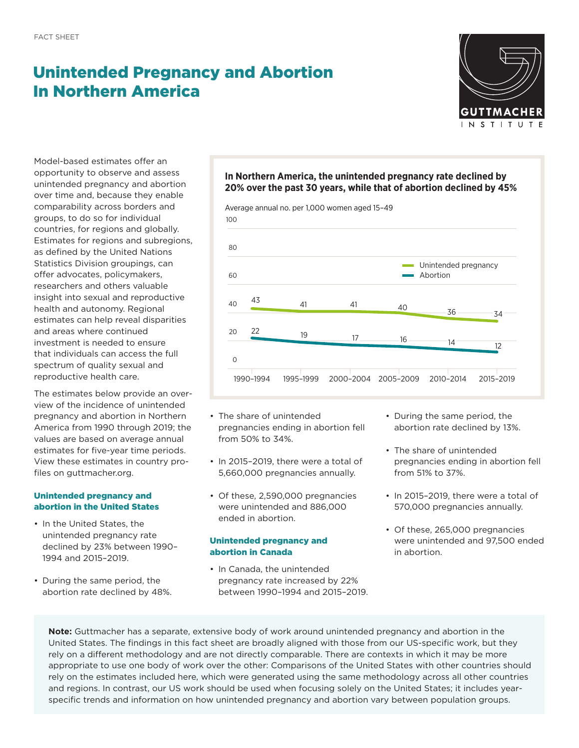# Unintended Pregnancy and Abortion In Northern America



Model-based estimates offer an opportunity to observe and assess unintended pregnancy and abortion over time and, because they enable comparability across borders and groups, to do so for individual countries, for regions and globally. Estimates for regions and subregions, as defined by the United Nations Statistics Division groupings, can offer advocates, policymakers, researchers and others valuable insight into sexual and reproductive health and autonomy. Regional estimates can help reveal disparities and areas where continued investment is needed to ensure that individuals can access the full spectrum of quality sexual and reproductive health care.

The estimates below provide an overview of the incidence of unintended pregnancy and abortion in Northern America from 1990 through 2019; the values are based on average annual estimates for five-year time periods. View these estimates in country profiles on [guttmacher.org](http://guttmacher.org).

# Unintended pregnancy and abortion in the United States

- In the United States, the unintended pregnancy rate declined by 23% between 1990– 1994 and 2015–2019.
- During the same period, the abortion rate declined by 48%.

# **In Northern America, the unintended pregnancy rate declined by 20% over the past 30 years, while that of abortion declined by 45%**



- The share of unintended pregnancies ending in abortion fell from 50% to 34%.
- In 2015–2019, there were a total of 5,660,000 pregnancies annually.
- Of these, 2,590,000 pregnancies were unintended and 886,000 ended in abortion.

# Unintended pregnancy and abortion in Canada

• In Canada, the unintended pregnancy rate increased by 22% between 1990–1994 and 2015–2019.

- During the same period, the abortion rate declined by 13%.
- The share of unintended pregnancies ending in abortion fell from 51% to 37%.
- In 2015–2019, there were a total of 570,000 pregnancies annually.
- Of these, 265,000 pregnancies were unintended and 97,500 ended in abortion.

**Note:** Guttmacher has a separate, extensive body of work around unintended pregnancy and abortion in the United States. The findings in this fact sheet are broadly aligned with those from our US-specific work, but they rely on a different methodology and are not directly comparable. There are contexts in which it may be more appropriate to use one body of work over the other: Comparisons of the United States with other countries should rely on the estimates included here, which were generated using the same methodology across all other countries and regions. In contrast, our US work should be used when focusing solely on the United States; it includes yearspecific trends and information on how unintended pregnancy and abortion vary between population groups.